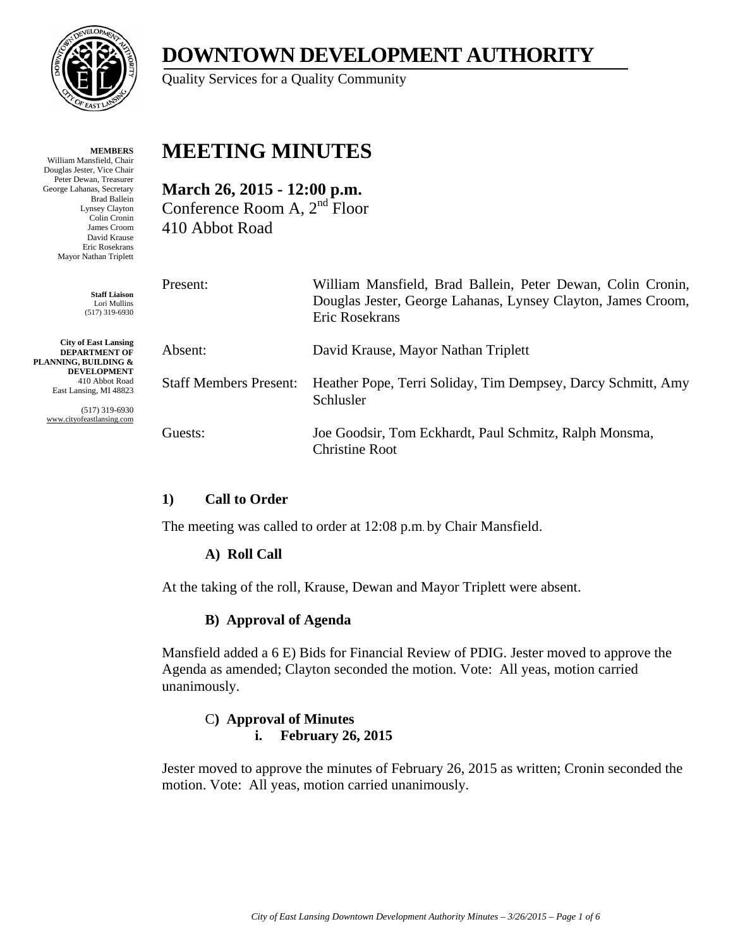

**MEMBERS** William Mansfield, Chair Douglas Jester, Vice Chair Peter Dewan, Treasurer George Lahanas, Secretary Brad Ballein Lynsey Clayton Colin Cronin James Croom David Krause Eric Rosekrans Mayor Nathan Triplett

> **Staff Liaison** Lori Mullins (517) 319-6930

**City of East Lansing DEPARTMENT OF PLANNING, BUILDING & DEVELOPMENT** 410 Abbot Road East Lansing, MI 48823

> (517) 319-6930 www.cityofeastlansing.com

# **DOWNTOWN DEVELOPMENT AUTHORITY**

Quality Services for a Quality Community

# **MEETING MINUTES**

**March 26, 2015 - 12:00 p.m.**  Conference Room A, 2nd Floor 410 Abbot Road

| Present:                      | William Mansfield, Brad Ballein, Peter Dewan, Colin Cronin,<br>Douglas Jester, George Lahanas, Lynsey Clayton, James Croom,<br>Eric Rosekrans |
|-------------------------------|-----------------------------------------------------------------------------------------------------------------------------------------------|
| Absent:                       | David Krause, Mayor Nathan Triplett                                                                                                           |
| <b>Staff Members Present:</b> | Heather Pope, Terri Soliday, Tim Dempsey, Darcy Schmitt, Amy<br>Schlusler                                                                     |
| Guests:                       | Joe Goodsir, Tom Eckhardt, Paul Schmitz, Ralph Monsma,<br><b>Christine Root</b>                                                               |

# **1) Call to Order**

The meeting was called to order at 12:08 p.m. by Chair Mansfield.

# **A) Roll Call**

At the taking of the roll, Krause, Dewan and Mayor Triplett were absent.

#### **B) Approval of Agenda**

Mansfield added a 6 E) Bids for Financial Review of PDIG. Jester moved to approve the Agenda as amended; Clayton seconded the motion. Vote: All yeas, motion carried unanimously.

#### C**) Approval of Minutes i. February 26, 2015**

Jester moved to approve the minutes of February 26, 2015 as written; Cronin seconded the motion. Vote: All yeas, motion carried unanimously.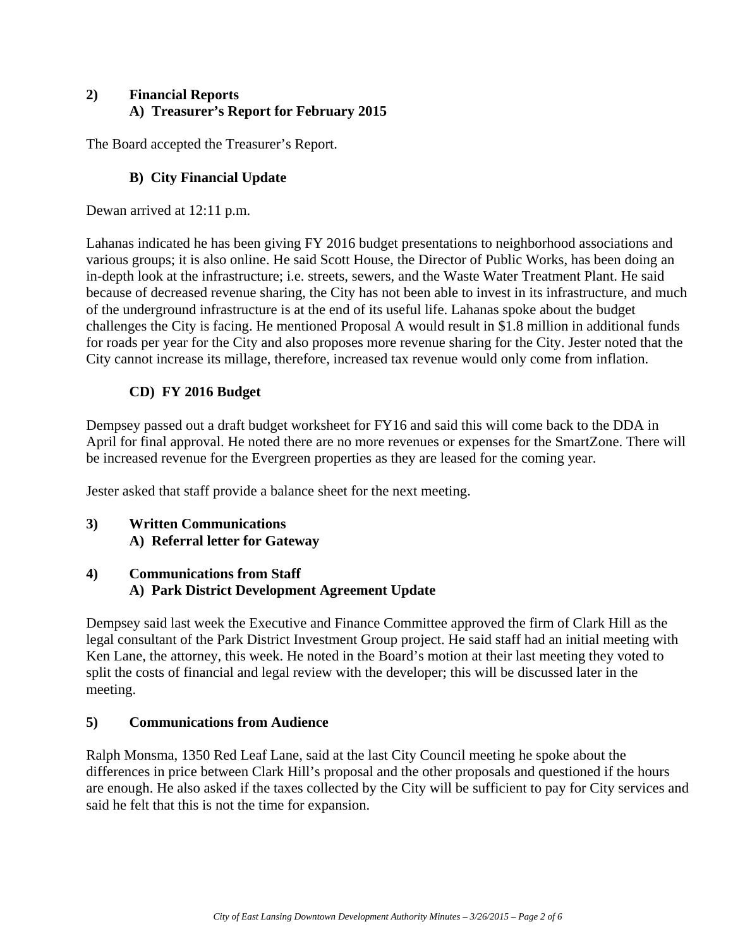#### **2) Financial Reports A) Treasurer's Report for February 2015**

The Board accepted the Treasurer's Report.

# **B) City Financial Update**

Dewan arrived at 12:11 p.m.

Lahanas indicated he has been giving FY 2016 budget presentations to neighborhood associations and various groups; it is also online. He said Scott House, the Director of Public Works, has been doing an in-depth look at the infrastructure; i.e. streets, sewers, and the Waste Water Treatment Plant. He said because of decreased revenue sharing, the City has not been able to invest in its infrastructure, and much of the underground infrastructure is at the end of its useful life. Lahanas spoke about the budget challenges the City is facing. He mentioned Proposal A would result in \$1.8 million in additional funds for roads per year for the City and also proposes more revenue sharing for the City. Jester noted that the City cannot increase its millage, therefore, increased tax revenue would only come from inflation.

# **CD) FY 2016 Budget**

Dempsey passed out a draft budget worksheet for FY16 and said this will come back to the DDA in April for final approval. He noted there are no more revenues or expenses for the SmartZone. There will be increased revenue for the Evergreen properties as they are leased for the coming year.

Jester asked that staff provide a balance sheet for the next meeting.

# **3) Written Communications A) Referral letter for Gateway**

# **4) Communications from Staff A) Park District Development Agreement Update**

Dempsey said last week the Executive and Finance Committee approved the firm of Clark Hill as the legal consultant of the Park District Investment Group project. He said staff had an initial meeting with Ken Lane, the attorney, this week. He noted in the Board's motion at their last meeting they voted to split the costs of financial and legal review with the developer; this will be discussed later in the meeting.

# **5) Communications from Audience**

Ralph Monsma, 1350 Red Leaf Lane, said at the last City Council meeting he spoke about the differences in price between Clark Hill's proposal and the other proposals and questioned if the hours are enough. He also asked if the taxes collected by the City will be sufficient to pay for City services and said he felt that this is not the time for expansion.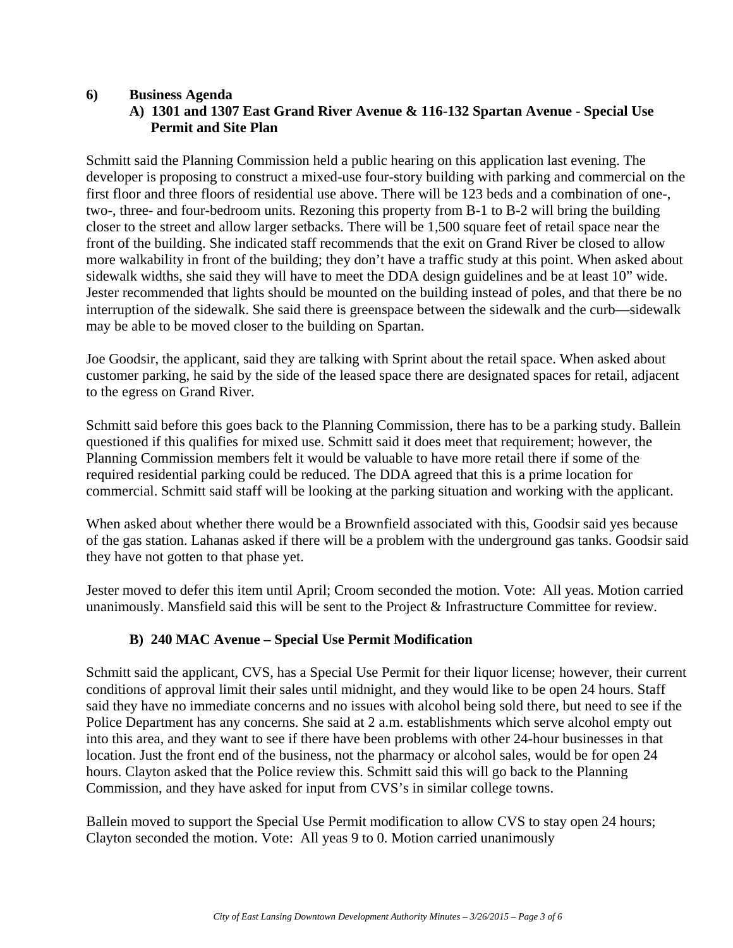#### **6) Business Agenda**

# **A) 1301 and 1307 East Grand River Avenue & 116-132 Spartan Avenue - Special Use Permit and Site Plan**

Schmitt said the Planning Commission held a public hearing on this application last evening. The developer is proposing to construct a mixed-use four-story building with parking and commercial on the first floor and three floors of residential use above. There will be 123 beds and a combination of one-, two-, three- and four-bedroom units. Rezoning this property from B-1 to B-2 will bring the building closer to the street and allow larger setbacks. There will be 1,500 square feet of retail space near the front of the building. She indicated staff recommends that the exit on Grand River be closed to allow more walkability in front of the building; they don't have a traffic study at this point. When asked about sidewalk widths, she said they will have to meet the DDA design guidelines and be at least 10" wide. Jester recommended that lights should be mounted on the building instead of poles, and that there be no interruption of the sidewalk. She said there is greenspace between the sidewalk and the curb—sidewalk may be able to be moved closer to the building on Spartan.

Joe Goodsir, the applicant, said they are talking with Sprint about the retail space. When asked about customer parking, he said by the side of the leased space there are designated spaces for retail, adjacent to the egress on Grand River.

Schmitt said before this goes back to the Planning Commission, there has to be a parking study. Ballein questioned if this qualifies for mixed use. Schmitt said it does meet that requirement; however, the Planning Commission members felt it would be valuable to have more retail there if some of the required residential parking could be reduced. The DDA agreed that this is a prime location for commercial. Schmitt said staff will be looking at the parking situation and working with the applicant.

When asked about whether there would be a Brownfield associated with this, Goodsir said yes because of the gas station. Lahanas asked if there will be a problem with the underground gas tanks. Goodsir said they have not gotten to that phase yet.

Jester moved to defer this item until April; Croom seconded the motion. Vote: All yeas. Motion carried unanimously. Mansfield said this will be sent to the Project & Infrastructure Committee for review.

#### **B) 240 MAC Avenue – Special Use Permit Modification**

Schmitt said the applicant, CVS, has a Special Use Permit for their liquor license; however, their current conditions of approval limit their sales until midnight, and they would like to be open 24 hours. Staff said they have no immediate concerns and no issues with alcohol being sold there, but need to see if the Police Department has any concerns. She said at 2 a.m. establishments which serve alcohol empty out into this area, and they want to see if there have been problems with other 24-hour businesses in that location. Just the front end of the business, not the pharmacy or alcohol sales, would be for open 24 hours. Clayton asked that the Police review this. Schmitt said this will go back to the Planning Commission, and they have asked for input from CVS's in similar college towns.

Ballein moved to support the Special Use Permit modification to allow CVS to stay open 24 hours; Clayton seconded the motion. Vote: All yeas 9 to 0. Motion carried unanimously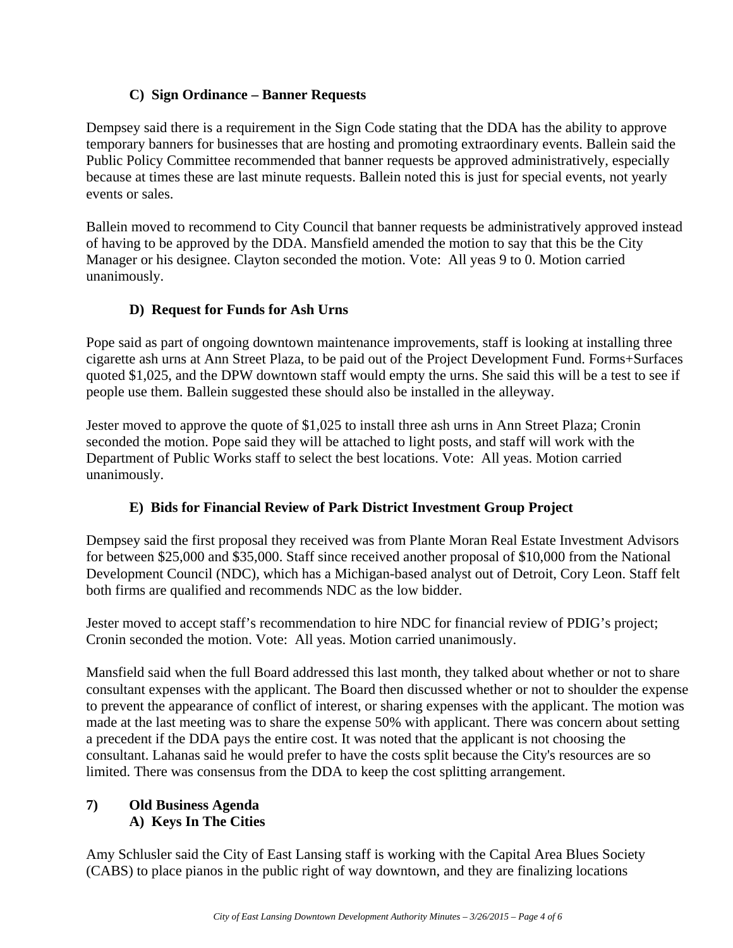#### **C) Sign Ordinance – Banner Requests**

Dempsey said there is a requirement in the Sign Code stating that the DDA has the ability to approve temporary banners for businesses that are hosting and promoting extraordinary events. Ballein said the Public Policy Committee recommended that banner requests be approved administratively, especially because at times these are last minute requests. Ballein noted this is just for special events, not yearly events or sales.

Ballein moved to recommend to City Council that banner requests be administratively approved instead of having to be approved by the DDA. Mansfield amended the motion to say that this be the City Manager or his designee. Clayton seconded the motion. Vote: All yeas 9 to 0. Motion carried unanimously.

# **D) Request for Funds for Ash Urns**

Pope said as part of ongoing downtown maintenance improvements, staff is looking at installing three cigarette ash urns at Ann Street Plaza, to be paid out of the Project Development Fund. Forms+Surfaces quoted \$1,025, and the DPW downtown staff would empty the urns. She said this will be a test to see if people use them. Ballein suggested these should also be installed in the alleyway.

Jester moved to approve the quote of \$1,025 to install three ash urns in Ann Street Plaza; Cronin seconded the motion. Pope said they will be attached to light posts, and staff will work with the Department of Public Works staff to select the best locations. Vote: All yeas. Motion carried unanimously.

#### **E) Bids for Financial Review of Park District Investment Group Project**

Dempsey said the first proposal they received was from Plante Moran Real Estate Investment Advisors for between \$25,000 and \$35,000. Staff since received another proposal of \$10,000 from the National Development Council (NDC), which has a Michigan-based analyst out of Detroit, Cory Leon. Staff felt both firms are qualified and recommends NDC as the low bidder.

Jester moved to accept staff's recommendation to hire NDC for financial review of PDIG's project; Cronin seconded the motion. Vote: All yeas. Motion carried unanimously.

Mansfield said when the full Board addressed this last month, they talked about whether or not to share consultant expenses with the applicant. The Board then discussed whether or not to shoulder the expense to prevent the appearance of conflict of interest, or sharing expenses with the applicant. The motion was made at the last meeting was to share the expense 50% with applicant. There was concern about setting a precedent if the DDA pays the entire cost. It was noted that the applicant is not choosing the consultant. Lahanas said he would prefer to have the costs split because the City's resources are so limited. There was consensus from the DDA to keep the cost splitting arrangement.

# **7) Old Business Agenda A) Keys In The Cities**

Amy Schlusler said the City of East Lansing staff is working with the Capital Area Blues Society (CABS) to place pianos in the public right of way downtown, and they are finalizing locations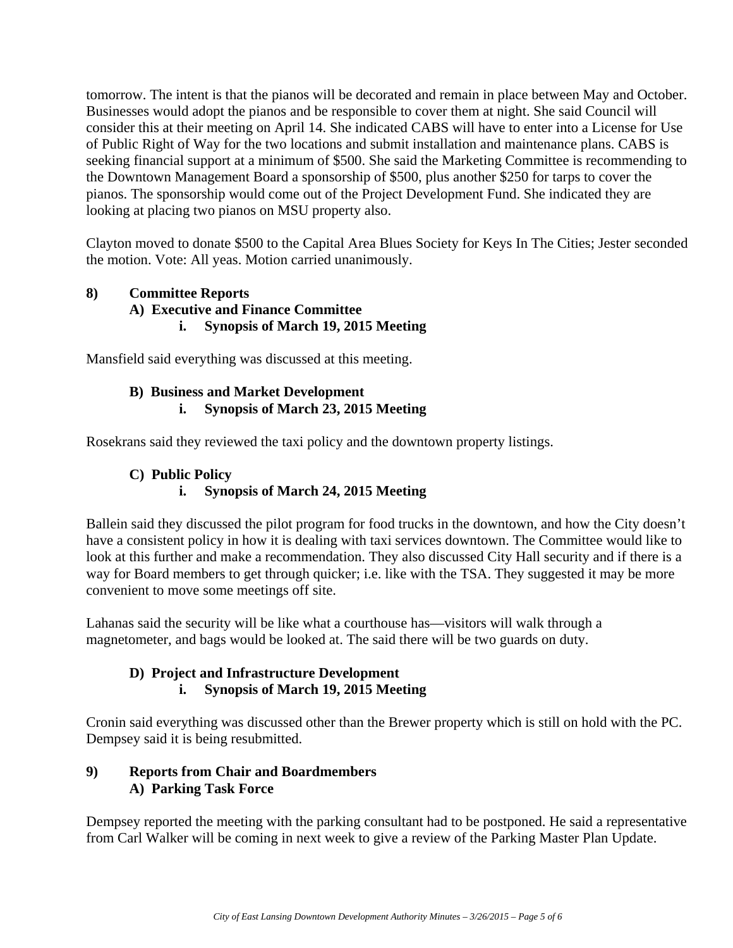tomorrow. The intent is that the pianos will be decorated and remain in place between May and October. Businesses would adopt the pianos and be responsible to cover them at night. She said Council will consider this at their meeting on April 14. She indicated CABS will have to enter into a License for Use of Public Right of Way for the two locations and submit installation and maintenance plans. CABS is seeking financial support at a minimum of \$500. She said the Marketing Committee is recommending to the Downtown Management Board a sponsorship of \$500, plus another \$250 for tarps to cover the pianos. The sponsorship would come out of the Project Development Fund. She indicated they are looking at placing two pianos on MSU property also.

Clayton moved to donate \$500 to the Capital Area Blues Society for Keys In The Cities; Jester seconded the motion. Vote: All yeas. Motion carried unanimously.

#### **8) Committee Reports A) Executive and Finance Committee i. Synopsis of March 19, 2015 Meeting**

Mansfield said everything was discussed at this meeting.

#### **B) Business and Market Development i. Synopsis of March 23, 2015 Meeting**

Rosekrans said they reviewed the taxi policy and the downtown property listings.

# **C) Public Policy i. Synopsis of March 24, 2015 Meeting**

Ballein said they discussed the pilot program for food trucks in the downtown, and how the City doesn't have a consistent policy in how it is dealing with taxi services downtown. The Committee would like to look at this further and make a recommendation. They also discussed City Hall security and if there is a way for Board members to get through quicker; i.e. like with the TSA. They suggested it may be more convenient to move some meetings off site.

Lahanas said the security will be like what a courthouse has—visitors will walk through a magnetometer, and bags would be looked at. The said there will be two guards on duty.

#### **D) Project and Infrastructure Development i. Synopsis of March 19, 2015 Meeting**

Cronin said everything was discussed other than the Brewer property which is still on hold with the PC. Dempsey said it is being resubmitted.

# **9) Reports from Chair and Boardmembers A) Parking Task Force**

Dempsey reported the meeting with the parking consultant had to be postponed. He said a representative from Carl Walker will be coming in next week to give a review of the Parking Master Plan Update.